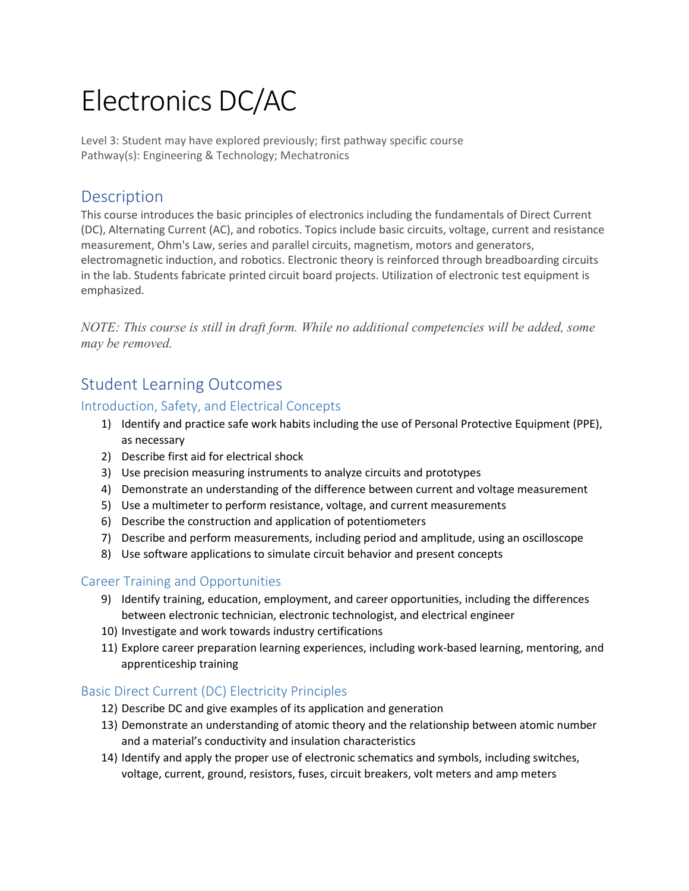# Electronics DC/AC

Level 3: Student may have explored previously; first pathway specific course Pathway(s): Engineering & Technology; Mechatronics

## **Description**

This course introduces the basic principles of electronics including the fundamentals of Direct Current (DC), Alternating Current (AC), and robotics. Topics include basic circuits, voltage, current and resistance measurement, Ohm's Law, series and parallel circuits, magnetism, motors and generators, electromagnetic induction, and robotics. Electronic theory is reinforced through breadboarding circuits in the lab. Students fabricate printed circuit board projects. Utilization of electronic test equipment is emphasized.

*NOTE: This course is still in draft form. While no additional competencies will be added, some may be removed.* 

## Student Learning Outcomes

### Introduction, Safety, and Electrical Concepts

- 1) Identify and practice safe work habits including the use of Personal Protective Equipment (PPE), as necessary
- 2) Describe first aid for electrical shock
- 3) Use precision measuring instruments to analyze circuits and prototypes
- 4) Demonstrate an understanding of the difference between current and voltage measurement
- 5) Use a multimeter to perform resistance, voltage, and current measurements
- 6) Describe the construction and application of potentiometers
- 7) Describe and perform measurements, including period and amplitude, using an oscilloscope
- 8) Use software applications to simulate circuit behavior and present concepts

#### Career Training and Opportunities

- 9) Identify training, education, employment, and career opportunities, including the differences between electronic technician, electronic technologist, and electrical engineer
- 10) Investigate and work towards industry certifications
- 11) Explore career preparation learning experiences, including work-based learning, mentoring, and apprenticeship training

#### Basic Direct Current (DC) Electricity Principles

- 12) Describe DC and give examples of its application and generation
- 13) Demonstrate an understanding of atomic theory and the relationship between atomic number and a material's conductivity and insulation characteristics
- 14) Identify and apply the proper use of electronic schematics and symbols, including switches, voltage, current, ground, resistors, fuses, circuit breakers, volt meters and amp meters